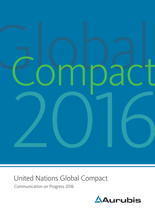

# United Nations Global Compact

Communication on Progress 2016

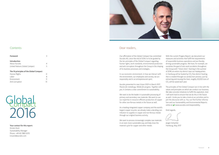

| Foreword                                |    |
|-----------------------------------------|----|
| Introduction                            |    |
| About Aurubis                           |    |
| United Nations Global Compact           | 5  |
| The 10 principles of the Global Compact |    |
| Human Rights                            | 6  |
| I abor                                  | 8  |
| Environment                             |    |
| Anti-corruption                         | 13 |

Your contact for this report:

Kirsten Kück Sustainability Manager Phone +49 40 7883-3270 k.kueck@aurubis.com



Our affirmation of the Global Compact has committed Aurubis AG, since the end of 2014, to to be guided by the ten principles of the Global Compact regarding human rights, work standards, environmental protection and anti-corruption throughout the Group in the shaping of its business processes and strategies.

In our economic environment, in how we interact with the environment, our employees and society, we act responsibly and in an entrepreneurial spirit.

With the current Progess Report, we document our measures and activities that fulfill the requirements of responsible business operations and are thereby driving sustainable progress. We have, for example, set ourselves the goal of zero work accidents throughout the Group with "Vision Zero". Starting in the summer of 2018, an entire city district near our headquarters in Hamburg will be heated by CO 2 -free district heating that is created through our production process. Just by extracting and reusing this heat, roughly 20,000 tons of  $CO<sub>2</sub>$  will be saved each year.

Aurubis presented its new Vision 2025 in March 2017. *Passion for metallurgy. Metals for progress. Together with you.* It contains a clear commitment to sustainability.

The principles of the Global Compact are in line with the values and principles on which we conduct our business. We take concrete initiatives to fulfill this aspiration. And I will work hard to ensure that we do this in the future as well. I invite you to take a look at our activities and to join the discourse with us. You can find further information and our Sustainability and Environmental Reports online at  $\heartsuit$  [www.aurubis.com/responsibility](http://www.aurubis.com/responsibility).

We want to be the leader in sustainable processing of primary and secondary raw materials. We want to use our expertise in resource-efficient production of copper for other non-ferrous metals in the future as well.

As a leading integrated copper company and the world's largest copper recycler, we already make a deciding con tribution to supplies in copper and non-ferrous metals through our original business activity.

2016 Global

We want to process increasingly complex raw materials in an even more sustainable way and help close the material cycle for copper and other metals.

Kind regards,

Jürgen Schachler Hamburg, May 2017

# Dear readers,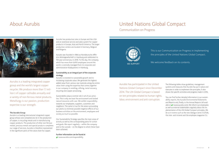Aurubis is a leading integrated copper group and the world's largest copper recycler. We produce more than 1.1 million t of copper cathodes annually and a variety of non-ferrous metal products. Metallurgy is our passion, production expertise is our strength.

### The Aurubis Group

Aurubis is a leading international integrated copper group whose core competencies lie in the production of copper, in recycling metals and in manufacturing copper products. The production of other non-ferrous metals, precious metals and special products completes our range of services. Aurubis is therefore represented in the significant parts of the value chain for copper.

Aurubis has production sites in Europe and the USA and an extensive service and sales system for copper products in Europe, Asia and North America. The larger production centers are located in Germany, Belgium and Bulgaria.

Aurubis was founded in 1866 as Norddeutsche Affinerie Aktiengesellschaft in Hamburg and celebrated its 150-year anniversary in 2016. To this day, the company, which has more than 6,400 employees around the world, is centrally managed from its corporate and administrative headquarters in Hamburg.

Further information can be found at [www.aurubis.com/responsibility](http://www.aurubis.com/responsibility)



### Sustainability as an integral part of the corporate strategy

Aurubis is oriented to sustainable growth and to increasing corporate value. We generate the highest added value from various raw materials along the entire value chain using the expertise that comes together in our company in smelting, refining, metal recovery, recycling and copper processing.

Sustainability plays a central role in all of our activities. This is why we treat the environment and limited natural resources with care. We exhibit responsibility towards our employees, suppliers, customers and neighbors. The same is true for the areas surrounding our plants to minimize possible negative effects of our business activities on the environment, employees and society as much as possible.

Our Sustainability Strategy specifies the main areas of activity as well as the corresponding plans for action and goals. We report regularly – within the company and to the outside – on the degree to which these have been achieved.

# <span id="page-2-0"></span>About Aurubis

The following tables show guidelines, management systems and measures that Aurubis has put in place and executes in order to implement the principles. It also shows the specific activities and progress made in 2016.

You can find further detailed information in our sustainability reports, the Aurubis Environmental Statements and Reports and, finally, in the Annual Reports (all available at  $\sqrt{2}$  [www.aurubis.com\)](http://www.aurubis.com). We inform our employees as well as external stakeholders regularly about the implementation of the UN Global Compact principles. We do so in events such as the new dialogue series CU2Talk, the inter- and intranet and the employee magazine CU.

# United Nations Global Compact

Communication on Progress



Aurubis has participated in the United Nations Global Compact since December 2014. The UN Global Compact is based on ten principles related to human rights, labor, environment and anti-corruption.

This is our Communication on Progress in implementing the principles of the United Nations Global Compact.

We welcome feedback on its contents.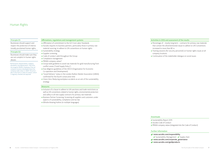### Affirmations, regulations and management systems

- » Affirmation of commitment to the ILO Core Labor Standards
- » Aurubis requires its business partners, particularly those in primary raw material sourcing, to adhere to UN conventions on human rights
- » Sustainability strategy
- » Supplier screening
- » Code of conduct valid throughout the Group
- » Compliance management
- » PRIMA company values\*
- » Group-wide guideline to avoid raw materials for gold manufacturing from conflict zones ("Gold Supply Policy")
- » Due diligence guidelines of the OECD (Organisation for Economic Co-operation and Development)
- » "Good Delivery" status in the London Bullion Market Association (LBMA) confirmed for the fourth consecutive time
- » Vision Zero: Reducing workplace accidents as an aim of the sustainability strategy

### Measures

- » Inclusion of a clause to adhere to UN sanctions and trade restrictions as well as UN conventions related to human rights, environmental protection and safety in all new supply contracts for primary raw materials
- » Business Partner Screening: Screening all suppliers and customers under aspects of sustainability, compliance and tax law
- » Whistle-blowing hotline (in multiple languages)

### Principle 01:

Businesses should support and respect the protection of internationally proclaimed human rights.

### Principle 02:

Businesses should make sure they are not complicit in human rights abuses.

# Human Rights

\*Performance, Responsibility, Integrity, Mutability, and Appreciation. They form the anagram PRIMA. Employees from all company locations developed these five company-wide values in 2009. The principles in this form a Code of Conduct, which is regularly checked and adjusted.

Activities in 2016 and assessment of the results

» Percentage of – mostly long-term – contracts for primary raw materials that contain the aforementioned clause to adhere to UN Conventions

- increased to more than 80 %
	-
- company locations.
- 

» Training sessions (for security personnel) on human rights issues at all

» Continuation of the stakeholder dialogue on social issues

**L** [PRIMA company values \(integrated into the Code of Conduct\)](https://www.aurubis.com/binaries/content/assets/aurubis-en/dateien/responsibility/aurubis_code_of_conduct.pdf)

[www.aurubis.com/](https://www.aurubis.com/responsibility)responsibility  $\bullet$  [Sustainability Management](https://www.aurubis.com/en/en/corp/responsibility/sustainability-management/overview) $\bullet$  [Supply chain](https://www.aurubis.com/en/en/corp/responsibility/supply-chain/overview-supply-chain) [www.aurubis.com/corporate\\_governance](https://www.aurubis.com/corporate_governance) [www.aurubis.com/goldp](https://www.aurubis.com/goldproducts)roducts

### Downloads

- **L** [Sustainability Report 2015](https://www.aurubis.com/binaries/content/assets/aurubis-en/dateien/responsibility/aur_nb15_eng_final.pdf)
- **L** Aurubis Code of Conduct
- 

### Further Information

- 
- 
- 
-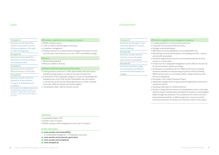### Affirmations, regulations and management systems

### » PRIMA company values\*

- » Code of conduct valid throughout the Group
- » Compliance management
- » Develop measures to increase interest among girls and women for technical education and professions as an aim of the sustainability strategy

# **Measures**

- » Whistle-blowing hotline
- » Measures related to diversity

### Activities in 2016 and assessment of the results

- » Training sessions carried out In 2016, approximately 400 participants attended training sessions on antitrust and anti-corruption law.
- » Continuation of the stakeholder dialogue on issues of sustainability (for example as part of the 2016 Aurubis Sustainability Day, participation in the process by the German federal government to create a national action plan (NAP) for Business and Human Rights)
- » "Sustainability Week" held for Aurubis trainees

### Downloads

- **L** [Sustainability Report 2015](https://www.aurubis.com/binaries/content/assets/aurubis-en/dateien/responsibility/aur_nb15_eng_final.pdf)
- **L** [Aurubis Code of Conduct](https://www.aurubis.com/binaries/content/assets/aurubis-en/dateien/responsibility/aurubis_code_of_conduct.pdf)
- **L** [PRIMA company values \(integrated into the Code of Conduct\)](https://www.aurubis.com/binaries/content/assets/aurubis-en/dateien/responsibility/aurubis_code_of_conduct.pdf)

### Further Information

- $\sqrt{2}$  [www.aurubis.com/](http://www.aurubis.com/responsibility)responsibility
- $\bullet$  [Sustainability Management](https://www.aurubis.com/en/en/corp/responsibility/sustainability-management/overview)  $\bullet$  [Employees and society](https://www.aurubis.com/en/en/corp/responsibility-x/page-employees--society)
- [www.aurubis.com/corporate\\_governance](https://www.aurubis.com/corporate_governance)
- [www.aurubis.com/compliance](https://www.aurubis.com/compliance)
- **[www.mintpink.de](http://www.mintpink.de/)**

### Principle 03:

Businesses should uphold the freedom of association and the effective recognition of the right to collective bargaining.

### Principle 04:

Businesses should uphold the elimination of all forms of forced and compulsory labor.

### Principle 05:

Businesses should uphold the effective abolition of child labor.

### Principle 06:

Businesses should uphold the elimination of discrimination in respect of employment and occupation.

# Labor

### Affirmations, regulations and management systemse

- » Company guidelines on environmental protection
- » Corporate Environmental Protection Policy
- » Affirmation of external guidelines such as Responsible Care
- » Dedicated organizational units for environmental protection at every
- » Certification in accordance with the "WEEE End Processor Standard"
- (voluntary standard on end-processing of precious metal-containing WEEE fractions such as circuit boards: WEEE = Waste of Electrical and
- » Participate in the Carbon Disclosure Project
- » Stakeholder dialogue with non-governmental organizations and environ-
- » Hamburg master plan for climate protection
- » Strategic environmental goals
- 
- » Membership and active participation in the leading economic, industry and scientific associations
- location or in every plant
- » Introduction of an integrated management system (IMS) for Aurubis AG for the environment, quality and energy.
- Electronic Equipment)
- 
- mental associations
- 
- » Aurubis is doing intensive research and development work to continually optimize products and processes and expand its position as a technological leader through new processes. The consideration of current and future environmental standards, an efficient approach to resources and the continuous reduction of emissions are important criteria in this respect.

### Principle 07:

Businesses should support a precautionary approach to environmental challenges.

### Principle 08:

Businesses should undertake initiatives to promote greater environmental responsibility.

# Principle 09:

Businesses should encourage the development and diffusion of environmentally friendly technologies.

# Environment

\*Our corporate values (PRIMA) are Performance, Responsibility, Integrity, Mutability and Appreciation. PRIMA, which means "great" in German, is derived from the first letter of each value.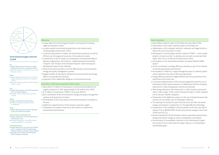### Measures

- » Group-wide environmental goals (medium and long-term) including target achievement control
- » Location-specific environmental goals (short and medium-term) including target achievement control
- » Continual improvement of water, soil and emission protection as well as efficient use of energy and resources in the production plants
- » Commitment to the EU project on achieving an environmental balance between organizations and products: "Organisational Environmental Footprint" and "Product Environmental Footprint" (2016: testing and development phase of the methods)
- » Internal and external audits to test the effectiveness of environmental, energy and quality management systems
- » Regular transfer of information between the environmental and energy officers at all production locations
- » Expansion of the stakeholder dialogue on environmental issues

### Activities in 2016 and assessment of the results

- » More than € 15 million of investments in environmental protection for copper production in 2015, approximately € 530 million since 2000.
- » € 13 million of investments in R&D in fiscal year 2015/16
- » (Re-) certification of the environmental, energy and quality management systems at all production locations
- » Achievement of the Group-wide environmental protection standards in all areas
- » Significant outperformance of the emission reduction targets
- » Completion of countless measures at all locations to improve the environmental performance

- **»** Target: Reducing CO<sub>2</sub> emissions by 100,000 t of CO $_{_2}$  compared to 2012 through energy efficiency projects and heat recovery projects
- » Example: Use of industrial waste heat for district heating in Hamburg

### **Environmental targets until end of 2018**

### **Air**

- » Target: Reducing dust emissions in copper production by over 10 % compared to 2012
- » Example: Reduction of diffuse emissions at the KRS area in Lünen

### **Water**

- » Targets: Reducing metal emissions to water in copper production by about 10 % compared to 2012
- » Example: Optimising new rain water treatment system in Lünen

### **Soil**

- » Target: Reducing input of harmful substances into soil and groundwater
- » Example: Further sealing of plant premises in Lünen

### **Waste**

- » Target: Increasing the recycling rates
- » Example: Stronger marketing of fayalite in Pirdop (BG)

### **Noise**

» Target: Reducing noise emissions especially as part of new technical projects

### **Nature Protection & Biodiversity**

- » Target: Improvement of nature protection at the production sites
- » Example: Participation in the NABU project "UnternehmensNatur" in Hamburg

### **Climate protection**



» New off-gas treatment plant at the Pirdop site since March 2016

- » Participation in the UnternehemensNatur (Company Nature) NABU
- » Participation in NEW 4.0, a large interregional project to identify optimization potential in the area of electricity generation
- » Energy Efficiency Award for highly efficient electricity production from
- 
- » Optimization of the water treatment plant at the Pirdop site
- » Optimization of the rainwater retention, treatment and usage facility to reduce the use of city water in Lünen
- **»** Participation in the European research initiative "FORCE Cities cooperating for circular economy" to develop new concepts to avoid and treat waste, with a focus on electrical and electronic waste
- project
- » Active involvement in energy efficiency networks as part of an initiative of German government and business
- 
- waste heat at the Lünen site
- » Continued implementation of the voluntary agreement with the city of Hamburg to further reduce emissions in collaboration with the Hamburg Authority for Urban Development and the Environment
- » After being selected as "Best Newcomer" in 2015, Aurubis received the status "Index Leader" of the Carbon Disclosure Project in 2016, making it one of the top 7 MDAX companies
- 
- energy consumption is reduced by 15 % through efficient technology output of up to 28,000 MWh of electricity (annual savings of more than 12,000 tons of  $CO<sub>2</sub>$ )
- » The opening of a production plant (Umicast 6) at the Olen site whose » Cooperation in the installation of wind turbines at the Olen site with an
- » Active involvement in the Eurometaux industry association (environment, energy and climate change, as well as sustainability committees)
- » Annual report of sustainability indicators to the International Copper Association (ICA) to show how the copper industry is contributing to sustainability goals

» Preparation of the lighthouse project on the use of industrial waste heat recovery for the eastern part of Hamburg's Hafencity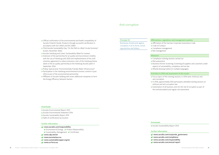### Affirmations, regulations and management systems

» Affirmation of the German Corporate Governance Code

- » Code of Conduct
- » Compliance management
- » Risk management

### Measures

» Compliance training sessions carried out

- 
- » Risk assessment
	-
- 

» Business Partner Screening: Screening all suppliers and customers under aspects of sustainability, compliance and tax law » Whistle-blowing hotline (in multiple languages)

Activities in 2016 and assessment of the results

» Focus topics of the training sessions in 2016 were: Antitrust and

- anti-corruption
- 
- 

» In 2016, approximately 400 participants attended training sessions on antitrust and anti-corruption law.

» Examination of all business units for the risk of corruption as part of the institutionalized and regular risk assessment

**Ł** [Aurubis Sustainability Report 2015](https://www.aurubis.com/binaries/content/assets/aurubis-en/dateien/responsibility/aur_nb15_eng_final.pdf)

[www.aurubis.com/corporate\\_governance](https://www.aurubis.com/corporate_governance) [www.aurubis.com/compliance](https://www.aurubis.com/compliance) [www.aurubis.com/](https://www.aurubis.com/responsibility)responsibility [www.aurubis.com/](https://www.aurubis.com/en/search?query=annual+report)annual report

# Downloads

### Further Information

- 
- 
- 
- 
- [Aurubis Environmental Report 2015](https://www.aurubis.com/binaries/content/assets/aurubis-en/dateien/responsibility/aurubis_environmental_report_2015_web.pdf)
- **L** [Aurubis Environmental Statement 2016](http://Aurubis Environmental Statement 2016)
- **Ł** [Aurubis Sustainability Report 2015](https://www.aurubis.com/binaries/content/assets/aurubis-en/dateien/responsibility/aur_nb15_eng_final.pdf)
- $\pm$  [Table of certifications by location](https://www.aurubis.com/en/en/corp/responsibility/product-responsibility/product-quality)

### Principle 10:

Businesses should work against corruption in all its forms, including extortion and bribery.

# Anti-corruption

- » Official confirmation of the environmental and health compatibility of Aurubis Finland's Nordic Products through successful certification in accordance with ISO 14025 and EN 15804
- » Third Aurubis Sustainability Day, "On the Path to a Real Circular Economy" (Lünen, November 2016)
- » Aurubis Hamburg and Lünen: Sustainability Week for trainees
- » Extension of the partnership for air quality and low emission mobility with the city of Hamburg until 2020 and implementation of the sixth voluntary agreement to reduce emissions; start of the Hamburg theme week on the air quality partnership at the Hamburg Aurubis plant in September 2016
- » Pirdop: Special prize "Environmentally Friendly Water Infrastructure"
- » Participation in the Hamburg environmental economic summit in June 2016 as part of the environmental partnership
- » Affiliation of Aurubis Stolberg with seven additional companies to form the Energy Efficiency Network Aachen

### Downloads

### Further Information

### $\sqrt{2}$  [www.aurubis.com/](https://www.aurubis.com/responsibility)responsibility

- $\bullet$  [Environment & Energy](https://www.aurubis.com/en/en/corp/responsibility/environment-and-energy/overview-environment--energy)  $\bullet$  [Product Responsibility](https://www.aurubis.com/en/en/corp/responsibility/product-responsibility/overview)
- $\bullet$  [Sustainability Management](https://www.aurubis.com/en/en/corp/responsibility/sustainability-management/overview) $\bullet$  [Certificates](https://www.aurubis.com/en/search?query=certificates)
- [www.cdp.net/e](https://www.cdp.net/en)n
- $\sqrt{2}$  [www.eurometaux.eu](https://www.eurometaux.eu/)
- [www.sustainablecopper.org/en](http://www.sustainablecopper.org/en/)
- <sup>√2</sup> [www.ce-force.eu](http://www.ce-force.eu/)